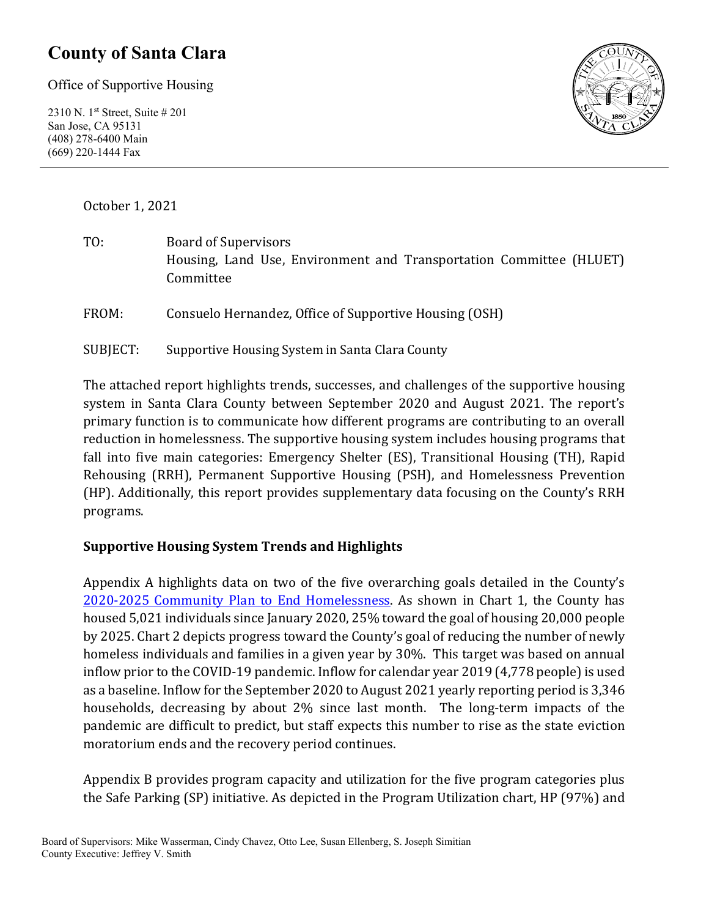## **County of Santa Clara**

Office of Supportive Housing

2310 N. 1st Street, Suite # 201 San Jose, CA 95131 (408) 278-6400 Main (669) 220-1444 Fax



October 1, 2021

| TO: | Board of Supervisors                                                |  |  |  |
|-----|---------------------------------------------------------------------|--|--|--|
|     | Housing, Land Use, Environment and Transportation Committee (HLUET) |  |  |  |
|     | Committee                                                           |  |  |  |
|     |                                                                     |  |  |  |

FROM: Consuelo Hernandez, Office of Supportive Housing (OSH)

SUBJECT: Supportive Housing System in Santa Clara County

The attached report highlights trends, successes, and challenges of the supportive housing system in Santa Clara County between September 2020 and August 2021. The report's primary function is to communicate how different programs are contributing to an overall reduction in homelessness. The supportive housing system includes housing programs that fall into five main categories: Emergency Shelter (ES), Transitional Housing (TH), Rapid Rehousing (RRH), Permanent Supportive Housing (PSH), and Homelessness Prevention (HP). Additionally, this report provides supplementary data focusing on the County's RRH programs.

#### **Supportive Housing System Trends and Highlights**

Appendix A highlights data on two of the five overarching goals detailed in the County's [2020-2025 Community Plan to End Homelessness.](https://www.sccgov.org/sites/yes/takeaction/Pages/2020-Santa-Clara-County-Community-Plan-to-End-Homelessness-.aspx) As shown in Chart 1, the County has housed 5,021 individuals since January 2020, 25% toward the goal of housing 20,000 people by 2025. Chart 2 depicts progress toward the County's goal of reducing the number of newly homeless individuals and families in a given year by 30%. This target was based on annual inflow prior to the COVID-19 pandemic. Inflow for calendar year 2019 (4,778 people) is used as a baseline. Inflow for the September 2020 to August 2021 yearly reporting period is 3,346 households, decreasing by about 2% since last month. The long-term impacts of the pandemic are difficult to predict, but staff expects this number to rise as the state eviction moratorium ends and the recovery period continues.

Appendix B provides program capacity and utilization for the five program categories plus the Safe Parking (SP) initiative. As depicted in the Program Utilization chart, HP (97%) and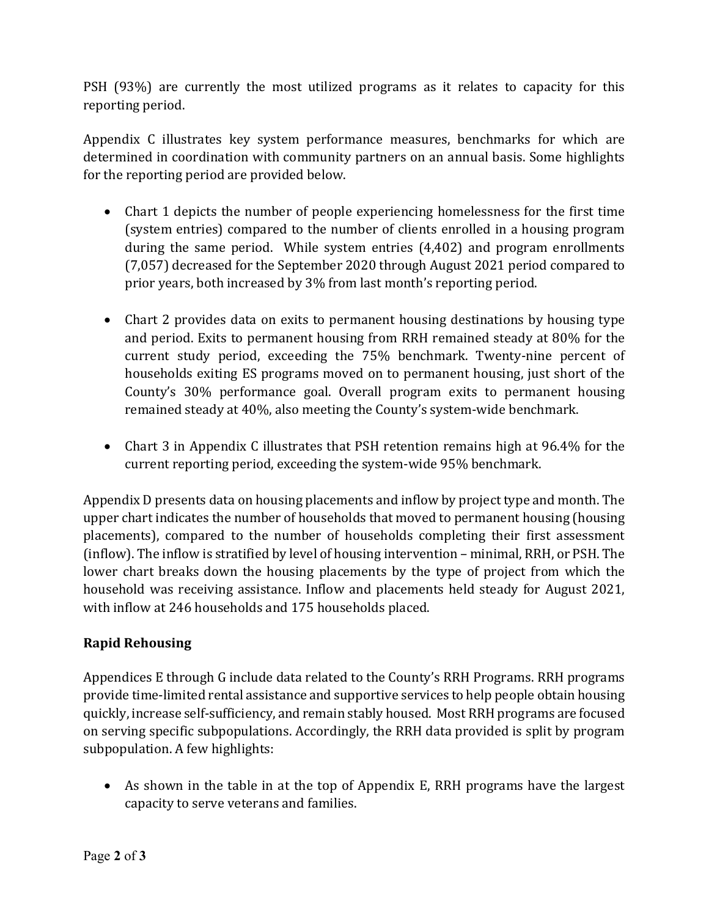PSH (93%) are currently the most utilized programs as it relates to capacity for this reporting period.

Appendix C illustrates key system performance measures, benchmarks for which are determined in coordination with community partners on an annual basis. Some highlights for the reporting period are provided below.

- Chart 1 depicts the number of people experiencing homelessness for the first time (system entries) compared to the number of clients enrolled in a housing program during the same period. While system entries (4,402) and program enrollments (7,057) decreased for the September 2020 through August 2021 period compared to prior years, both increased by 3% from last month's reporting period.
- Chart 2 provides data on exits to permanent housing destinations by housing type and period. Exits to permanent housing from RRH remained steady at 80% for the current study period, exceeding the 75% benchmark. Twenty-nine percent of households exiting ES programs moved on to permanent housing, just short of the County's 30% performance goal. Overall program exits to permanent housing remained steady at 40%, also meeting the County's system-wide benchmark.
- Chart 3 in Appendix C illustrates that PSH retention remains high at 96.4% for the current reporting period, exceeding the system-wide 95% benchmark.

Appendix D presents data on housing placements and inflow by project type and month. The upper chart indicates the number of households that moved to permanent housing (housing placements), compared to the number of households completing their first assessment (inflow). The inflow is stratified by level of housing intervention – minimal, RRH, or PSH. The lower chart breaks down the housing placements by the type of project from which the household was receiving assistance. Inflow and placements held steady for August 2021, with inflow at 246 households and 175 households placed.

#### **Rapid Rehousing**

Appendices E through G include data related to the County's RRH Programs. RRH programs provide time-limited rental assistance and supportive services to help people obtain housing quickly, increase self-sufficiency, and remain stably housed. Most RRH programs are focused on serving specific subpopulations. Accordingly, the RRH data provided is split by program subpopulation. A few highlights:

• As shown in the table in at the top of Appendix E, RRH programs have the largest capacity to serve veterans and families.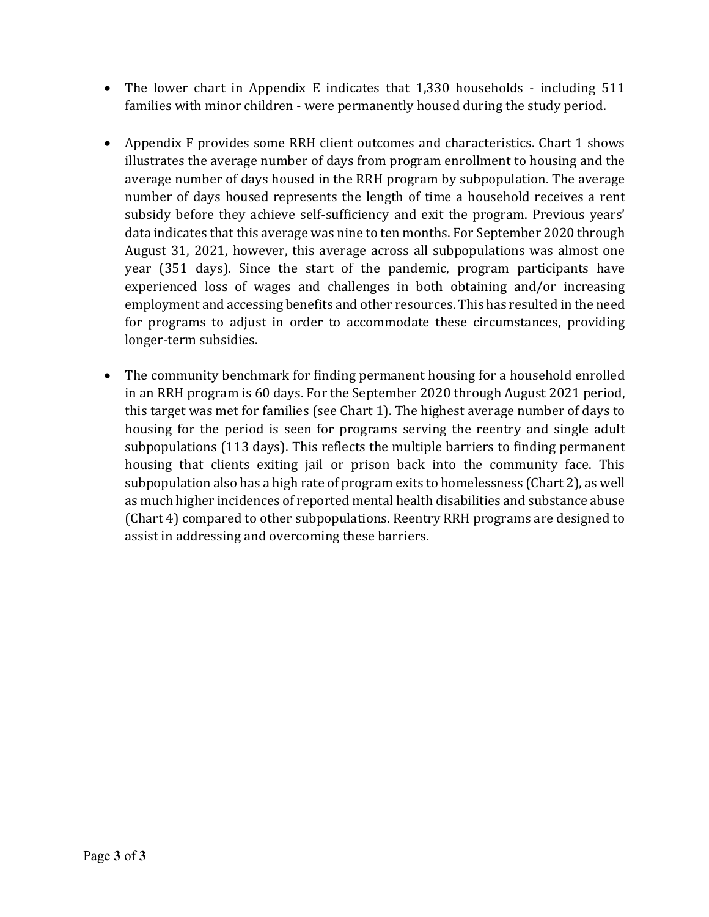- The lower chart in Appendix E indicates that 1,330 households including 511 families with minor children - were permanently housed during the study period.
- Appendix F provides some RRH client outcomes and characteristics. Chart 1 shows illustrates the average number of days from program enrollment to housing and the average number of days housed in the RRH program by subpopulation. The average number of days housed represents the length of time a household receives a rent subsidy before they achieve self-sufficiency and exit the program. Previous years' data indicates that this average was nine to ten months. For September 2020 through August 31, 2021, however, this average across all subpopulations was almost one year (351 days). Since the start of the pandemic, program participants have experienced loss of wages and challenges in both obtaining and/or increasing employment and accessing benefits and other resources. This has resulted in the need for programs to adjust in order to accommodate these circumstances, providing longer-term subsidies.
- The community benchmark for finding permanent housing for a household enrolled in an RRH program is 60 days. For the September 2020 through August 2021 period, this target was met for families (see Chart 1). The highest average number of days to housing for the period is seen for programs serving the reentry and single adult subpopulations (113 days). This reflects the multiple barriers to finding permanent housing that clients exiting jail or prison back into the community face. This subpopulation also has a high rate of program exits to homelessness (Chart 2), as well as much higher incidences of reported mental health disabilities and substance abuse (Chart 4) compared to other subpopulations. Reentry RRH programs are designed to assist in addressing and overcoming these barriers.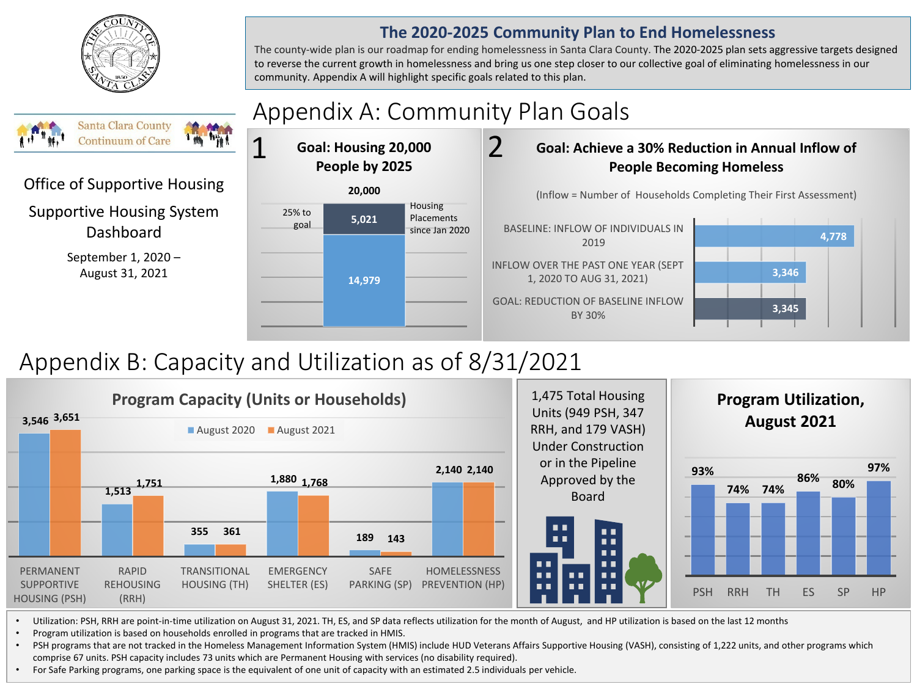

#### **The 2020-2025 Community Plan to End Homelessness**

The county-wide plan is our roadmap for ending homelessness in Santa Clara County. The 2020-2025 plan sets aggressive targets designed to reverse the current growth in homelessness and bring us one step closer to our collective goal of eliminating homelessness in our community. Appendix A will highlight specific goals related to this plan.

#### Appendix A: Community Plan Goals **Santa Clara County** 2 21 **Continuum of Care Goal: Housing 20,000 Goal: Achieve a 30% Reduction in Annual Inflow of People by 2025 People Becoming Homeless** Office of Supportive Housing **20,000** (Inflow = Number of Households Completing Their First Assessment) Housing Supportive Housing System 25% to **5,021** Placements goal Dashboard BASELINE: INFLOW OF INDIVIDUALS IN since Jan 2020 **4,778** 2019 September 1, 2020 – INFLOW OVER THE PAST ONE YEAR (SEPT **3,346**  August 31, 2021 1, 2020 TO AUG 31, 2021) **14,979** GOAL: REDUCTION OF BASELINE INFLOW **3,345**  BY 30%

# Appendix B: Capacity and Utilization as of 8/31/2021



• Utilization: PSH, RRH are point-in-time utilization on August 31, 2021. TH, ES, and SP data reflects utilization for the month of August, and HP utilization is based on the last 12 months

• Program utilization is based on households enrolled in programs that are tracked in HMIS.

• PSH programs that are not tracked in the Homeless Management Information System (HMIS) include HUD Veterans Affairs Supportive Housing (VASH), consisting of 1,222 units, and other programs which comprise 67 units. PSH capacity includes 73 units which are Permanent Housing with services (no disability required).

• For Safe Parking programs, one parking space is the equivalent of one unit of capacity with an estimated 2.5 individuals per vehicle.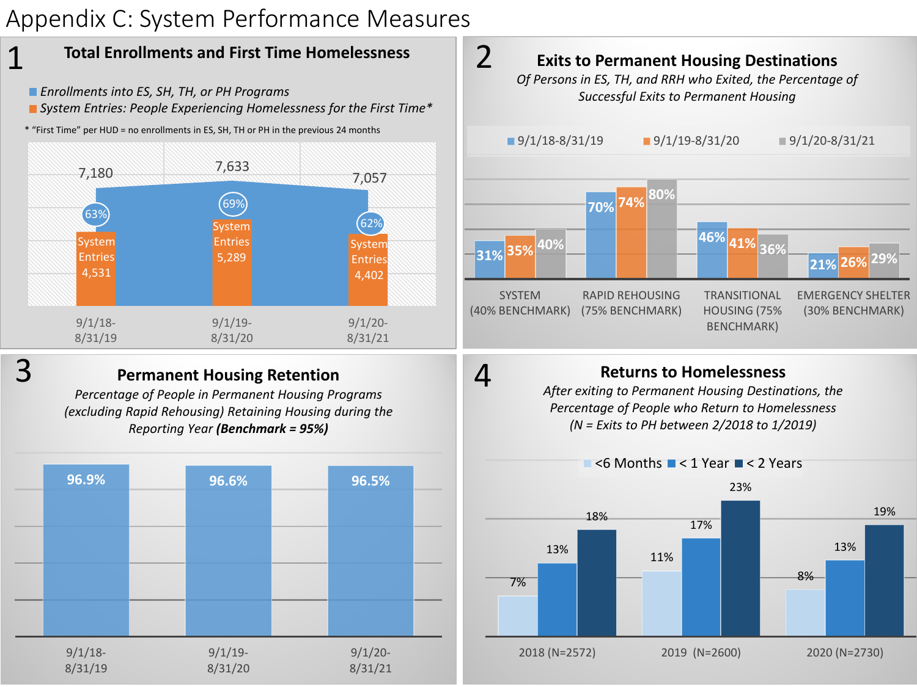# Appendix C: System Performance Measures



- *Enrollments into ES, SH, TH, or PH Programs*
- *System Entries: People Experiencing Homelessness for the First Time\**
- \* "First Time" per HUD = no enrollments in ES, SH, TH or PH in the previous 24 months



1

#### **Permanent Housing Retention**

*Percentage of People in Permanent Housing Programs (excluding Rapid Rehousing) Retaining Housing during the Reporting Year (Benchmark = 95%)*





### **Returns to Homelessness**

4

*After exiting to Permanent Housing Destinations, the Percentage of People who Return to Homelessness (N = Exits to PH between 2/2018 to 1/2019)*

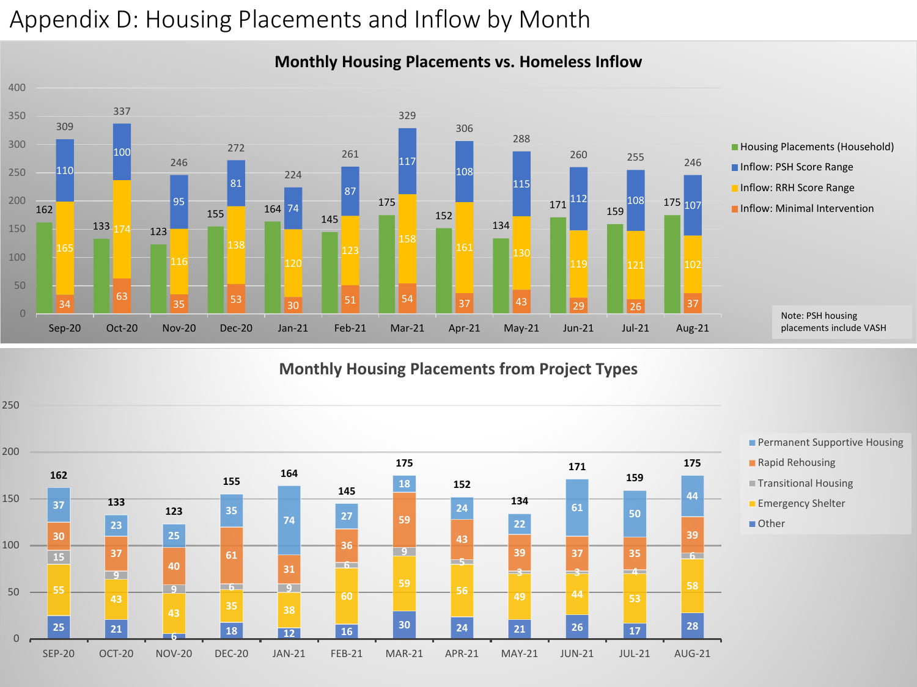# Appendix D: Housing Placements and Inflow by Month



#### **Monthly Housing Placements vs. Homeless Inflow**

**Monthly Housing Placements from Project Types**

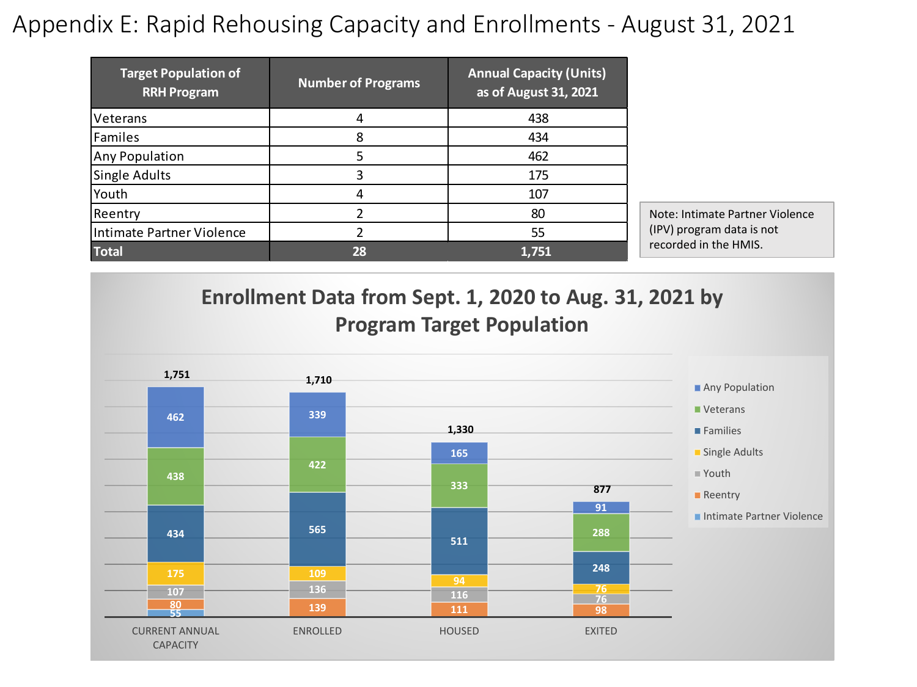# Appendix E: Rapid Rehousing Capacity and Enrollments - August 31, 2021

| <b>Target Population of</b><br><b>RRH Program</b> | <b>Number of Programs</b> | <b>Annual Capacity (Units)</b><br>as of August 31, 2021 |                                 |  |
|---------------------------------------------------|---------------------------|---------------------------------------------------------|---------------------------------|--|
| <b>Veterans</b>                                   | 4                         | 438                                                     |                                 |  |
| Familes                                           | 8                         | 434                                                     |                                 |  |
| Any Population                                    |                           | 462                                                     |                                 |  |
| Single Adults                                     |                           | 175                                                     |                                 |  |
| Youth                                             | 4                         | 107                                                     |                                 |  |
| Reentry                                           |                           | 80                                                      | Note: Intimate Partner Violence |  |
| Intimate Partner Violence                         |                           | 55                                                      | (IPV) program data is not       |  |
| <b>Total</b>                                      | 28                        | 1,751                                                   | recorded in the HMIS.           |  |

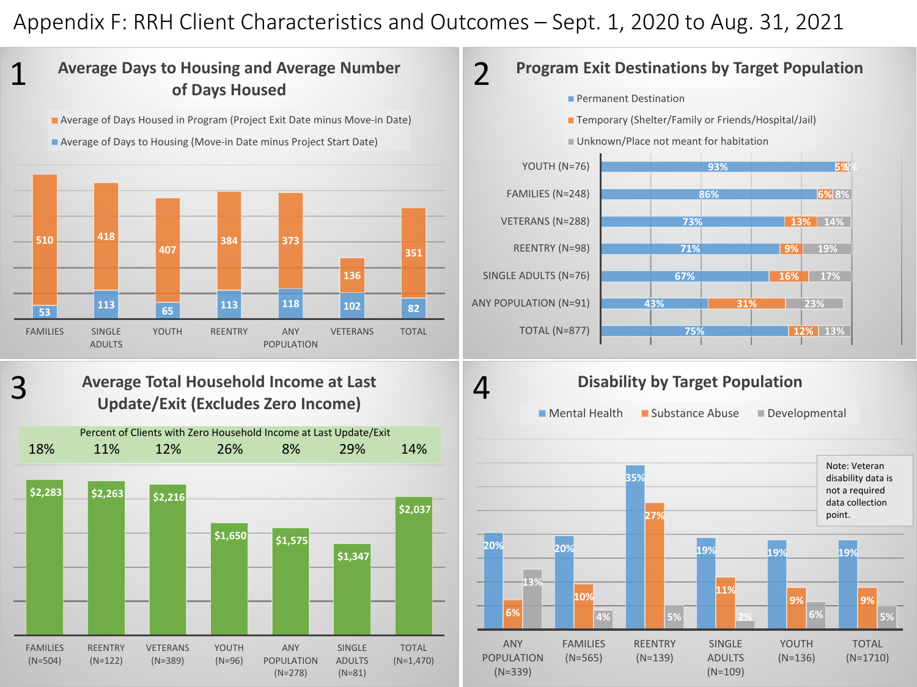## Appendix F: RRH Client Characteristics and Outcomes – Sept. 1, 2020 to Aug. 31, 2021